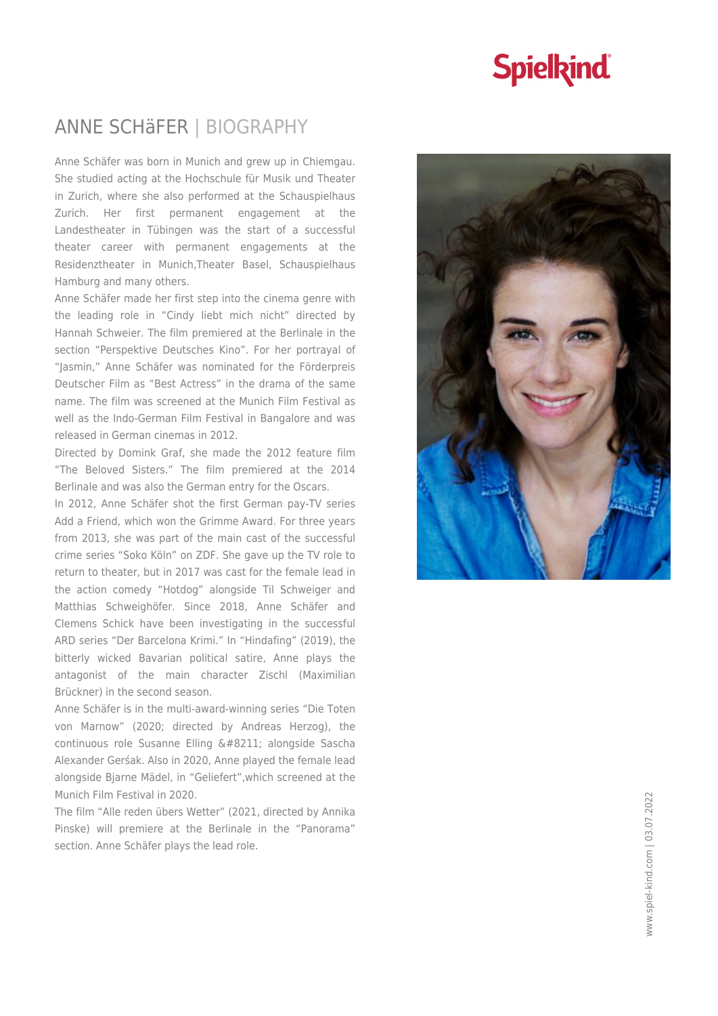## **Spielkind**

### ANNE SCHäFER | BIOGRAPHY

Anne Schäfer was born in Munich and grew up in Chiemgau. She studied acting at the Hochschule für Musik und Theater in Zurich, where she also performed at the Schauspielhaus Zurich. Her first permanent engagement at the Landestheater in Tübingen was the start of a successful theater career with permanent engagements at the Residenztheater in Munich,Theater Basel, Schauspielhaus Hamburg and many others.

Anne Schäfer made her first step into the cinema genre with the leading role in "Cindy liebt mich nicht" directed by Hannah Schweier. The film premiered at the Berlinale in the section "Perspektive Deutsches Kino". For her portrayal of "Jasmin," Anne Schäfer was nominated for the Förderpreis Deutscher Film as "Best Actress" in the drama of the same name. The film was screened at the Munich Film Festival as well as the Indo-German Film Festival in Bangalore and was released in German cinemas in 2012.

Directed by Domink Graf, she made the 2012 feature film "The Beloved Sisters." The film premiered at the 2014 Berlinale and was also the German entry for the Oscars.

In 2012, Anne Schäfer shot the first German pay-TV series Add a Friend, which won the Grimme Award. For three years from 2013, she was part of the main cast of the successful crime series "Soko Köln" on ZDF. She gave up the TV role to return to theater, but in 2017 was cast for the female lead in the action comedy "Hotdog" alongside Til Schweiger and Matthias Schweighöfer. Since 2018, Anne Schäfer and Clemens Schick have been investigating in the successful ARD series "Der Barcelona Krimi." In "Hindafing" (2019), the bitterly wicked Bavarian political satire, Anne plays the antagonist of the main character Zischl (Maximilian Brückner) in the second season.

Anne Schäfer is in the multi-award-winning series "Die Toten von Marnow" (2020; directed by Andreas Herzog), the continuous role Susanne Elling – alongside Sascha Alexander Gerśak. Also in 2020, Anne played the female lead alongside Bjarne Mädel, in "Geliefert",which screened at the Munich Film Festival in 2020.

The film "Alle reden übers Wetter" (2021, directed by Annika Pinske) will premiere at the Berlinale in the "Panorama" section. Anne Schäfer plays the lead role.

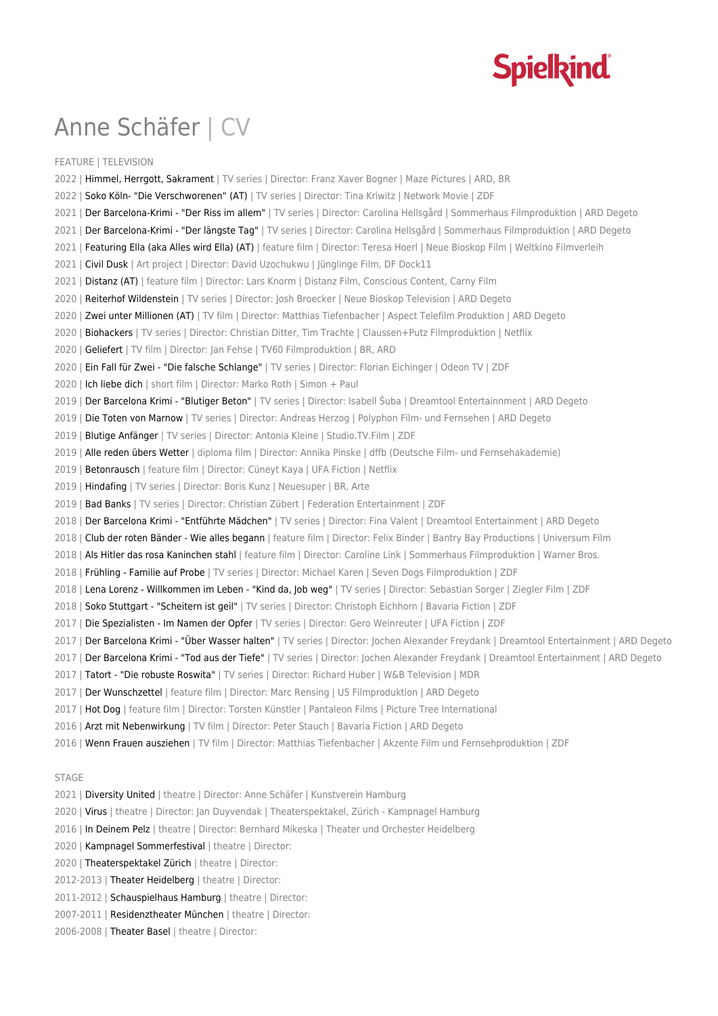

# Anne Schäfer | CV

FEATURE | TELEVISION 2022 | Himmel, Herrgott, Sakrament | TV series | Director: Franz Xaver Bogner | Maze Pictures | ARD, BR 2022 | Soko Köln- "Die Verschworenen" (AT) | TV series | Director: Tina Kriwitz | Network Movie | ZDF 2021 | Der Barcelona-Krimi - "Der Riss im allem" | TV series | Director: Carolina Hellsgård | Sommerhaus Filmproduktion | ARD Degeto 2021 | Der Barcelona-Krimi - "Der längste Tag" | TV series | Director: Carolina Hellsgård | Sommerhaus Filmproduktion | ARD Degeto 2021 | Featuring Ella (aka Alles wird Ella) (AT) | feature film | Director: Teresa Hoerl | Neue Bioskop Film | Weltkino Filmverleih 2021 | Civil Dusk | Art project | Director: David Uzochukwu | Jünglinge Film, DF Dock11 2021 | Distanz (AT) | feature film | Director: Lars Knorm | Distanz Film, Conscious Content, Carny Film 2020 | Reiterhof Wildenstein | TV series | Director: Josh Broecker | Neue Bioskop Television | ARD Degeto 2020 | Zwei unter Millionen (AT) | TV film | Director: Matthias Tiefenbacher | Aspect Telefilm Produktion | ARD Degeto 2020 | Biohackers | TV series | Director: Christian Ditter, Tim Trachte | Claussen+Putz Filmproduktion | Netflix 2020 | Geliefert | TV film | Director: Jan Fehse | TV60 Filmproduktion | BR, ARD 2020 | Ein Fall für Zwei - "Die falsche Schlange" | TV series | Director: Florian Eichinger | Odeon TV | ZDF 2020 | Ich liebe dich | short film | Director: Marko Roth | Simon + Paul 2019 | Der Barcelona Krimi - "Blutiger Beton" | TV series | Director: Isabell Šuba | Dreamtool Entertainnment | ARD Degeto 2019 | Die Toten von Marnow | TV series | Director: Andreas Herzog | Polyphon Film- und Fernsehen | ARD Degeto 2019 | Blutige Anfänger | TV series | Director: Antonia Kleine | Studio.TV.Film | ZDF 2019 | Alle reden übers Wetter | diploma film | Director: Annika Pinske | dffb (Deutsche Film- und Fernsehakademie) 2019 | Betonrausch | feature film | Director: Cüneyt Kaya | UFA Fiction | Netflix 2019 | Hindafing | TV series | Director: Boris Kunz | Neuesuper | BR, Arte 2019 | Bad Banks | TV series | Director: Christian Zübert | Federation Entertainment | ZDF 2018 | Der Barcelona Krimi - "Entführte Mädchen" | TV series | Director: Fina Valent | Dreamtool Entertainment | ARD Degeto 2018 | Club der roten Bänder - Wie alles begann | feature film | Director: Felix Binder | Bantry Bay Productions | Universum Film 2018 | Als Hitler das rosa Kaninchen stahl | feature film | Director: Caroline Link | Sommerhaus Filmproduktion | Warner Bros. 2018 | Frühling - Familie auf Probe | TV series | Director: Michael Karen | Seven Dogs Filmproduktion | ZDF 2018 | Lena Lorenz - Willkommen im Leben - "Kind da, lob weg" | TV series | Director: Sebastian Sorger | Ziegler Film | ZDF 2018 | Soko Stuttgart - "Scheitern ist geil" | TV series | Director: Christoph Eichhorn | Bavaria Fiction | ZDF 2017 | Die Spezialisten - Im Namen der Opfer | TV series | Director: Gero Weinreuter | UFA Fiction | ZDF 2017 | Der Barcelona Krimi - "Über Wasser halten" | TV series | Director: Jochen Alexander Freydank | Dreamtool Entertainment | ARD Degeto 2017 | Der Barcelona Krimi - "Tod aus der Tiefe" | TV series | Director: Jochen Alexander Freydank | Dreamtool Entertainment | ARD Degeto 2017 | Tatort - "Die robuste Roswita" | TV series | Director: Richard Huber | W&B Television | MDR 2017 | Der Wunschzettel | feature film | Director: Marc Rensing | U5 Filmproduktion | ARD Degeto 2017 | Hot Dog | feature film | Director: Torsten Künstler | Pantaleon Films | Picture Tree International 2016 | Arzt mit Nebenwirkung | TV film | Director: Peter Stauch | Bavaria Fiction | ARD Degeto 2016 | Wenn Frauen ausziehen | TV film | Director: Matthias Tiefenbacher | Akzente Film und Fernsehproduktion | ZDF STAGE

- 2021 | Diversity United | theatre | Director: Anne Schäfer | Kunstverein Hamburg
- 2020 | Virus | theatre | Director: Jan Duyvendak | Theaterspektakel, Zürich Kampnagel Hamburg
- 2016 | In Deinem Pelz | theatre | Director: Bernhard Mikeska | Theater und Orchester Heidelberg
- 2020 | Kampnagel Sommerfestival | theatre | Director:
- 2020 | Theaterspektakel Zürich | theatre | Director:
- 2012-2013 | Theater Heidelberg | theatre | Director:
- 2011-2012 | Schauspielhaus Hamburg | theatre | Director:
- 2007-2011 | Residenztheater München | theatre | Director:
- 2006-2008 | Theater Basel | theatre | Director: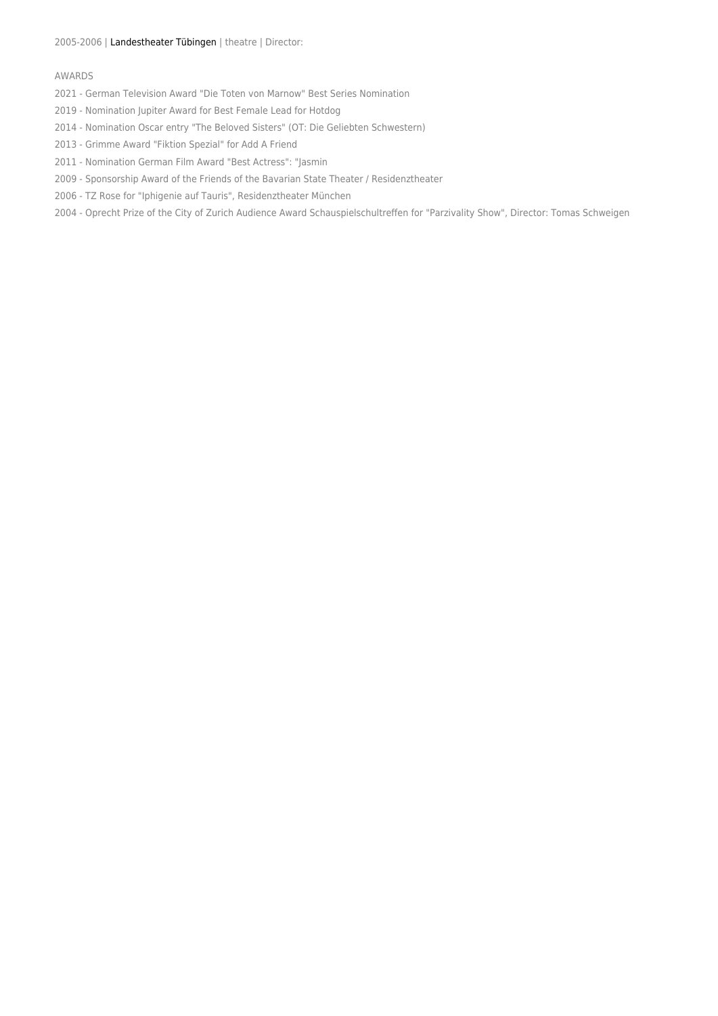### AWARDS

- 2021 German Television Award "Die Toten von Marnow" Best Series Nomination
- 2019 Nomination Jupiter Award for Best Female Lead for Hotdog
- 2014 Nomination Oscar entry "The Beloved Sisters" (OT: Die Geliebten Schwestern)
- 2013 Grimme Award "Fiktion Spezial" for Add A Friend
- 2011 Nomination German Film Award "Best Actress": "Jasmin
- 2009 Sponsorship Award of the Friends of the Bavarian State Theater / Residenztheater
- 2006 TZ Rose for "Iphigenie auf Tauris", Residenztheater München
- 2004 Oprecht Prize of the City of Zurich Audience Award Schauspielschultreffen for "Parzivality Show", Director: Tomas Schweigen